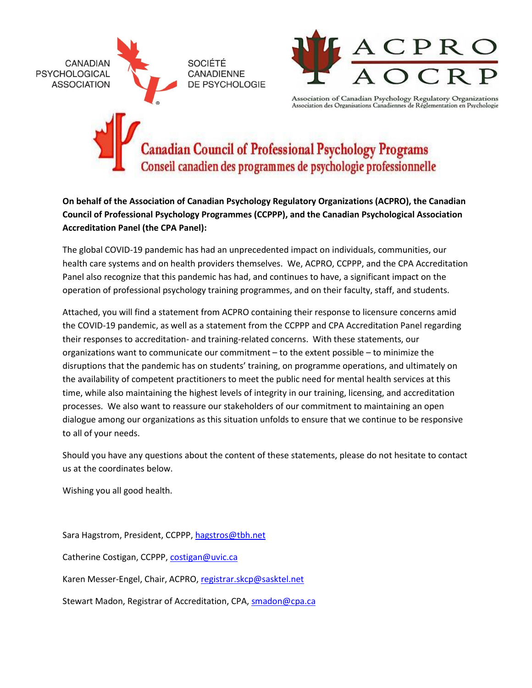



Association of Canadian Psychology Regulatory Organizations<br>Association des Organisations Canadiennes de Réglementation en Psychologie

# Canadian Council of Professional Psychology Programs Conseil canadien des programmes de psychologie professionnelle

**On behalf of the Association of Canadian Psychology Regulatory Organizations (ACPRO), the Canadian Council of Professional Psychology Programmes (CCPPP), and the Canadian Psychological Association Accreditation Panel (the CPA Panel):**

The global COVID-19 pandemic has had an unprecedented impact on individuals, communities, our health care systems and on health providers themselves. We, ACPRO, CCPPP, and the CPA Accreditation Panel also recognize that this pandemic has had, and continues to have, a significant impact on the operation of professional psychology training programmes, and on their faculty, staff, and students.

Attached, you will find a statement from ACPRO containing their response to licensure concerns amid the COVID-19 pandemic, as well as a statement from the CCPPP and CPA Accreditation Panel regarding their responses to accreditation- and training-related concerns. With these statements, our organizations want to communicate our commitment – to the extent possible – to minimize the disruptions that the pandemic has on students' training, on programme operations, and ultimately on the availability of competent practitioners to meet the public need for mental health services at this time, while also maintaining the highest levels of integrity in our training, licensing, and accreditation processes. We also want to reassure our stakeholders of our commitment to maintaining an open dialogue among our organizations as this situation unfolds to ensure that we continue to be responsive to all of your needs.

Should you have any questions about the content of these statements, please do not hesitate to contact us at the coordinates below.

Wishing you all good health.

Sara Hagstrom, President, CCPPP[, hagstros@tbh.net](mailto:hagstros@tbh.net)

Catherine Costigan, CCPPP, [costigan@uvic.ca](mailto:costigan@uvic.ca)

Karen Messer-Engel, Chair, ACPRO, [registrar.skcp@sasktel.net](mailto:registrar.skcp@sasktel.net)

Stewart Madon, Registrar of Accreditation, CPA, [smadon@cpa.ca](mailto:smadon@cpa.ca)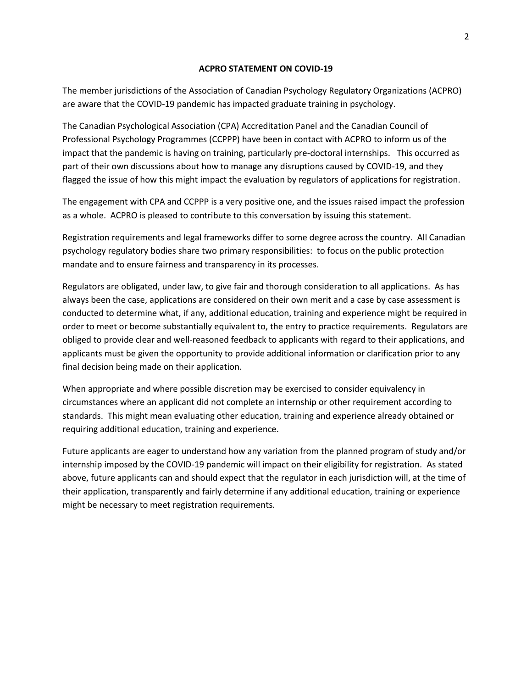#### **ACPRO STATEMENT ON COVID-19**

The member jurisdictions of the Association of Canadian Psychology Regulatory Organizations (ACPRO) are aware that the COVID-19 pandemic has impacted graduate training in psychology.

The Canadian Psychological Association (CPA) Accreditation Panel and the Canadian Council of Professional Psychology Programmes (CCPPP) have been in contact with ACPRO to inform us of the impact that the pandemic is having on training, particularly pre-doctoral internships. This occurred as part of their own discussions about how to manage any disruptions caused by COVID-19, and they flagged the issue of how this might impact the evaluation by regulators of applications for registration.

The engagement with CPA and CCPPP is a very positive one, and the issues raised impact the profession as a whole. ACPRO is pleased to contribute to this conversation by issuing this statement.

Registration requirements and legal frameworks differ to some degree across the country. All Canadian psychology regulatory bodies share two primary responsibilities: to focus on the public protection mandate and to ensure fairness and transparency in its processes.

Regulators are obligated, under law, to give fair and thorough consideration to all applications. As has always been the case, applications are considered on their own merit and a case by case assessment is conducted to determine what, if any, additional education, training and experience might be required in order to meet or become substantially equivalent to, the entry to practice requirements. Regulators are obliged to provide clear and well-reasoned feedback to applicants with regard to their applications, and applicants must be given the opportunity to provide additional information or clarification prior to any final decision being made on their application.

When appropriate and where possible discretion may be exercised to consider equivalency in circumstances where an applicant did not complete an internship or other requirement according to standards. This might mean evaluating other education, training and experience already obtained or requiring additional education, training and experience.

Future applicants are eager to understand how any variation from the planned program of study and/or internship imposed by the COVID-19 pandemic will impact on their eligibility for registration. As stated above, future applicants can and should expect that the regulator in each jurisdiction will, at the time of their application, transparently and fairly determine if any additional education, training or experience might be necessary to meet registration requirements.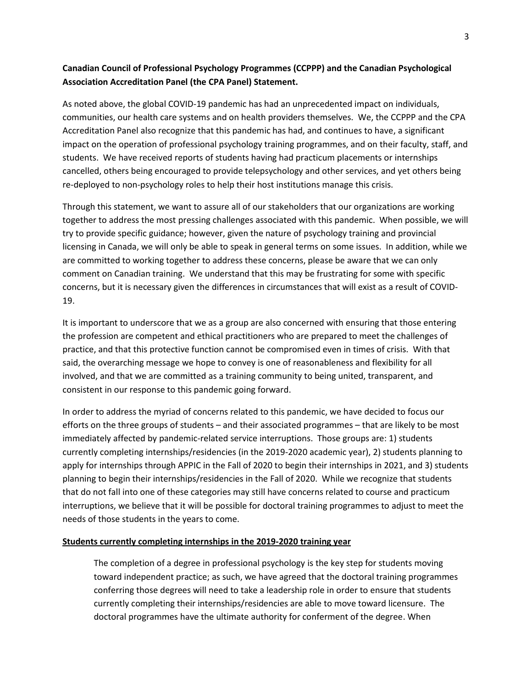## **Canadian Council of Professional Psychology Programmes (CCPPP) and the Canadian Psychological Association Accreditation Panel (the CPA Panel) Statement.**

As noted above, the global COVID-19 pandemic has had an unprecedented impact on individuals, communities, our health care systems and on health providers themselves. We, the CCPPP and the CPA Accreditation Panel also recognize that this pandemic has had, and continues to have, a significant impact on the operation of professional psychology training programmes, and on their faculty, staff, and students. We have received reports of students having had practicum placements or internships cancelled, others being encouraged to provide telepsychology and other services, and yet others being re-deployed to non-psychology roles to help their host institutions manage this crisis.

Through this statement, we want to assure all of our stakeholders that our organizations are working together to address the most pressing challenges associated with this pandemic. When possible, we will try to provide specific guidance; however, given the nature of psychology training and provincial licensing in Canada, we will only be able to speak in general terms on some issues. In addition, while we are committed to working together to address these concerns, please be aware that we can only comment on Canadian training. We understand that this may be frustrating for some with specific concerns, but it is necessary given the differences in circumstances that will exist as a result of COVID-19.

It is important to underscore that we as a group are also concerned with ensuring that those entering the profession are competent and ethical practitioners who are prepared to meet the challenges of practice, and that this protective function cannot be compromised even in times of crisis. With that said, the overarching message we hope to convey is one of reasonableness and flexibility for all involved, and that we are committed as a training community to being united, transparent, and consistent in our response to this pandemic going forward.

In order to address the myriad of concerns related to this pandemic, we have decided to focus our efforts on the three groups of students – and their associated programmes – that are likely to be most immediately affected by pandemic-related service interruptions. Those groups are: 1) students currently completing internships/residencies (in the 2019-2020 academic year), 2) students planning to apply for internships through APPIC in the Fall of 2020 to begin their internships in 2021, and 3) students planning to begin their internships/residencies in the Fall of 2020. While we recognize that students that do not fall into one of these categories may still have concerns related to course and practicum interruptions, we believe that it will be possible for doctoral training programmes to adjust to meet the needs of those students in the years to come.

#### **Students currently completing internships in the 2019-2020 training year**

The completion of a degree in professional psychology is the key step for students moving toward independent practice; as such, we have agreed that the doctoral training programmes conferring those degrees will need to take a leadership role in order to ensure that students currently completing their internships/residencies are able to move toward licensure. The doctoral programmes have the ultimate authority for conferment of the degree. When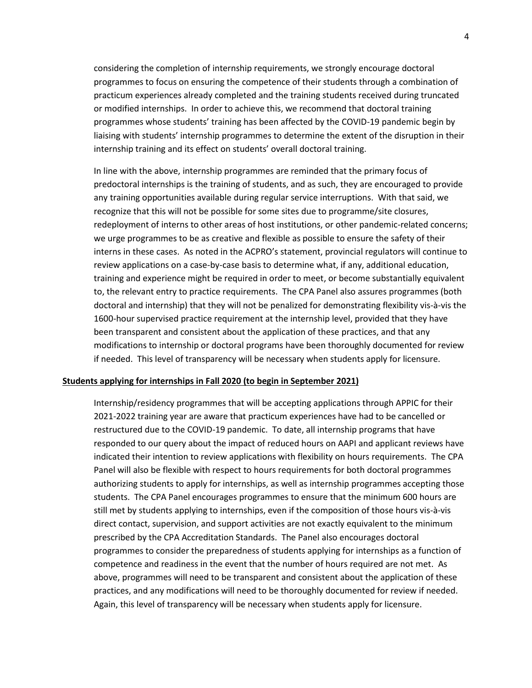considering the completion of internship requirements, we strongly encourage doctoral programmes to focus on ensuring the competence of their students through a combination of practicum experiences already completed and the training students received during truncated or modified internships. In order to achieve this, we recommend that doctoral training programmes whose students' training has been affected by the COVID-19 pandemic begin by liaising with students' internship programmes to determine the extent of the disruption in their internship training and its effect on students' overall doctoral training.

In line with the above, internship programmes are reminded that the primary focus of predoctoral internships is the training of students, and as such, they are encouraged to provide any training opportunities available during regular service interruptions. With that said, we recognize that this will not be possible for some sites due to programme/site closures, redeployment of interns to other areas of host institutions, or other pandemic-related concerns; we urge programmes to be as creative and flexible as possible to ensure the safety of their interns in these cases. As noted in the ACPRO's statement, provincial regulators will continue to review applications on a case-by-case basis to determine what, if any, additional education, training and experience might be required in order to meet, or become substantially equivalent to, the relevant entry to practice requirements. The CPA Panel also assures programmes (both doctoral and internship) that they will not be penalized for demonstrating flexibility vis-à-vis the 1600-hour supervised practice requirement at the internship level, provided that they have been transparent and consistent about the application of these practices, and that any modifications to internship or doctoral programs have been thoroughly documented for review if needed. This level of transparency will be necessary when students apply for licensure.

#### **Students applying for internships in Fall 2020 (to begin in September 2021)**

Internship/residency programmes that will be accepting applications through APPIC for their 2021-2022 training year are aware that practicum experiences have had to be cancelled or restructured due to the COVID-19 pandemic. To date, all internship programs that have responded to our query about the impact of reduced hours on AAPI and applicant reviews have indicated their intention to review applications with flexibility on hours requirements. The CPA Panel will also be flexible with respect to hours requirements for both doctoral programmes authorizing students to apply for internships, as well as internship programmes accepting those students. The CPA Panel encourages programmes to ensure that the minimum 600 hours are still met by students applying to internships, even if the composition of those hours vis-à-vis direct contact, supervision, and support activities are not exactly equivalent to the minimum prescribed by the CPA Accreditation Standards. The Panel also encourages doctoral programmes to consider the preparedness of students applying for internships as a function of competence and readiness in the event that the number of hours required are not met. As above, programmes will need to be transparent and consistent about the application of these practices, and any modifications will need to be thoroughly documented for review if needed. Again, this level of transparency will be necessary when students apply for licensure.